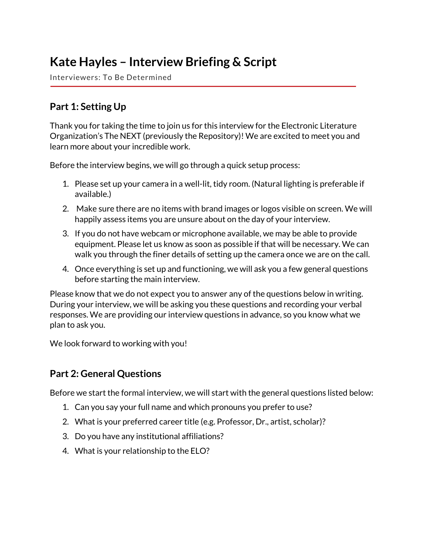# **Kate Hayles – Interview Briefing & Script**

Interviewers: To Be Determined

## **Part 1: Setting Up**

Thank you for taking the time to join us for this interview for the Electronic Literature Organization's The NEXT (previously the Repository)! We are excited to meet you and learn more about your incredible work.

Before the interview begins, we will go through a quick setup process:

- 1. Please set up your camera in a well-lit, tidy room. (Natural lighting is preferable if available.)
- 2. Make sure there are no items with brand images or logos visible on screen. We will happily assess items you are unsure about on the day of your interview.
- 3. If you do not have webcam or microphone available, we may be able to provide equipment. Please let us know as soon as possible if that will be necessary. We can walk you through the finer details of setting up the camera once we are on the call.
- 4. Once everything is set up and functioning, we will ask you a few general questions before starting the main interview.

Please know that we do not expect you to answer any of the questions below in writing. During your interview, we will be asking you these questions and recording your verbal responses. We are providing our interview questions in advance, so you know what we plan to ask you.

We look forward to working with you!

## **Part 2: General Questions**

Before we start the formal interview, we will start with the general questions listed below:

- 1. Can you say your full name and which pronouns you prefer to use?
- 2. What is your preferred career title (e.g. Professor, Dr., artist, scholar)?
- 3. Do you have any institutional affiliations?
- 4. What is your relationship to the ELO?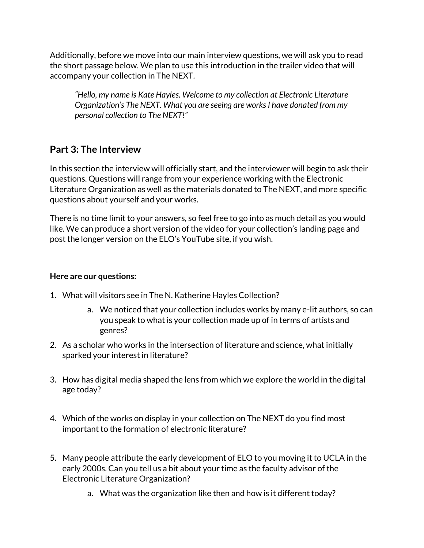Additionally, before we move into our main interview questions, we will ask you to read the short passage below. We plan to use this introduction in the trailer video that will accompany your collection in The NEXT.

*"Hello, my name is Kate Hayles. Welcome to my collection at Electronic Literature Organization's The NEXT. What you are seeing are works I have donated from my personal collection to The NEXT!"*

## **Part 3: The Interview**

In this section the interview will officially start, and the interviewer will begin to ask their questions. Questions will range from your experience working with the Electronic Literature Organization as well as the materials donated to The NEXT, and more specific questions about yourself and your works.

There is no time limit to your answers, so feel free to go into as much detail as you would like. We can produce a short version of the video for your collection's landing page and post the longer version on the ELO's YouTube site, if you wish.

#### **Here are our questions:**

- 1. What will visitors see in The N. Katherine Hayles Collection?
	- a. We noticed that your collection includes works by many e-lit authors, so can you speak to what is your collection made up of in terms of artists and genres?
- 2. As a scholar who works in the intersection of literature and science, what initially sparked your interest in literature?
- 3. How has digital media shaped the lens from which we explore the world in the digital age today?
- 4. Which of the works on display in your collection on The NEXT do you find most important to the formation of electronic literature?
- 5. Many people attribute the early development of ELO to you moving it to UCLA in the early 2000s. Can you tell us a bit about your time as the faculty advisor of the Electronic Literature Organization?
	- a. What was the organization like then and how is it different today?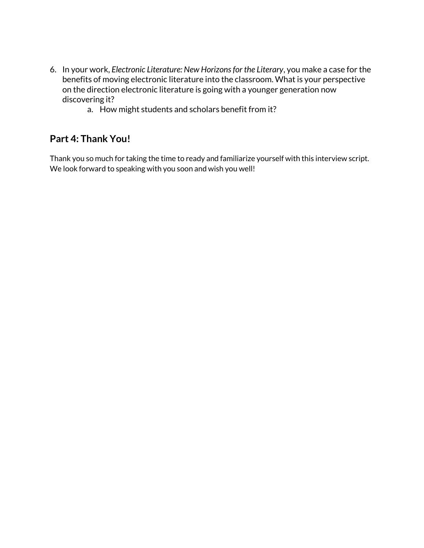- 6. In your work, *Electronic Literature: New Horizons for the Literary*, you make a case for the benefits of moving electronic literature into the classroom. What is your perspective on the direction electronic literature is going with a younger generation now discovering it?
	- a. How might students and scholars benefit from it?

## **Part 4: Thank You!**

Thank you so much for taking the time to ready and familiarize yourself with this interview script. We look forward to speaking with you soon and wish you well!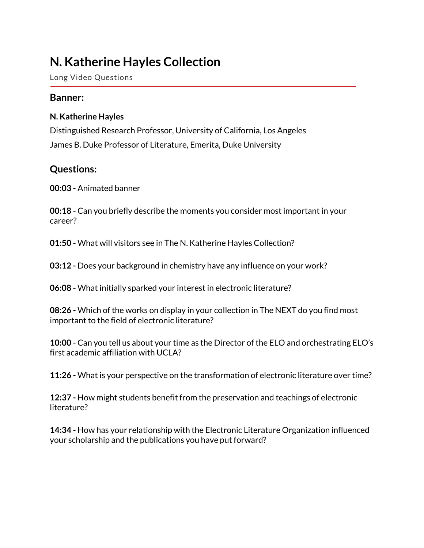# **N. Katherine Hayles Collection**

Long Video Questions

### **Banner:**

#### **N. Katherine Hayles**

Distinguished Research Professor, University of California, Los Angeles James B. Duke Professor of Literature, Emerita, Duke University

### **Questions:**

**00:03 -** Animated banner

**00:18 -** Can you briefly describe the moments you consider most important in your career?

**01:50 -** What will visitors see in The N. Katherine Hayles Collection?

**03:12 -** Does your background in chemistry have any influence on your work?

**06:08 -** What initially sparked your interest in electronic literature?

**08:26 -** Which of the works on display in your collection in The NEXT do you find most important to the field of electronic literature?

**10:00 -** Can you tell us about your time as the Director of the ELO and orchestrating ELO's first academic affiliation with UCLA?

**11:26 -** What is your perspective on the transformation of electronic literature over time?

**12:37 -** How might students benefit from the preservation and teachings of electronic literature?

**14:34 -** How has your relationship with the Electronic Literature Organization influenced your scholarship and the publications you have put forward?